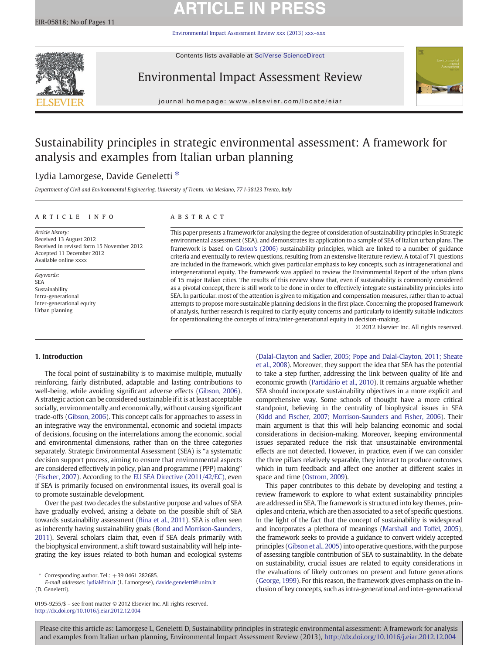# **ARTICLE IN PRESS**

[Environmental Impact Assessment Review xxx \(2013\) xxx](http://dx.doi.org/10.1016/j.eiar.2012.12.004)–xxx



Contents lists available at SciVerse ScienceDirect

## Environmental Impact Assessment Review



journal homepage: www.elsevier.com/locate/eiar

## Sustainability principles in strategic environmental assessment: A framework for analysis and examples from Italian urban planning

## Lydia Lamorgese, Davide Geneletti<sup>\*</sup>

Department of Civil and Environmental Engineering, University of Trento, via Mesiano, 77 I-38123 Trento, Italy

## article info abstract

Article history: Received 13 August 2012 Received in revised form 15 November 2012 Accepted 11 December 2012 Available online xxxx

Keywords: SEA Sustainability Intra-generational Inter-generational equity Urban planning

This paper presents a framework for analysing the degree of consideration of sustainability principles in Strategic environmental assessment (SEA), and demonstrates its application to a sample of SEA of Italian urban plans. The framework is based on [Gibson's \(2006\)](#page--1-0) sustainability principles, which are linked to a number of guidance criteria and eventually to review questions, resulting from an extensive literature review. A total of 71 questions are included in the framework, which gives particular emphasis to key concepts, such as intragenerational and intergenerational equity. The framework was applied to review the Environmental Report of the urban plans of 15 major Italian cities. The results of this review show that, even if sustainability is commonly considered as a pivotal concept, there is still work to be done in order to effectively integrate sustainability principles into SEA. In particular, most of the attention is given to mitigation and compensation measures, rather than to actual attempts to propose more sustainable planning decisions in the first place. Concerning the proposed framework of analysis, further research is required to clarify equity concerns and particularly to identify suitable indicators for operationalizing the concepts of intra/inter-generational equity in decision-making.

© 2012 Elsevier Inc. All rights reserved.

## 1. Introduction

The focal point of sustainability is to maximise multiple, mutually reinforcing, fairly distributed, adaptable and lasting contributions to well-being, while avoiding significant adverse effects [\(Gibson, 2006](#page--1-0)). A strategic action can be considered sustainable if it is at least acceptable socially, environmentally and economically, without causing significant trade-offs [\(Gibson, 2006\)](#page--1-0). This concept calls for approaches to assess in an integrative way the environmental, economic and societal impacts of decisions, focusing on the interrelations among the economic, social and environmental dimensions, rather than on the three categories separately. Strategic Environmental Assessment (SEA) is "a systematic decision support process, aiming to ensure that environmental aspects are considered effectively in policy, plan and programme (PPP) making" [\(Fischer, 2007\)](#page--1-0). According to the [EU SEA Directive \(2011/42/EC\)](#page--1-0), even if SEA is primarily focused on environmental issues, its overall goal is to promote sustainable development.

Over the past two decades the substantive purpose and values of SEA have gradually evolved, arising a debate on the possible shift of SEA towards sustainability assessment [\(Bina et al., 2011](#page--1-0)). SEA is often seen as inherently having sustainability goals ([Bond and Morrison-Saunders,](#page--1-0) [2011](#page--1-0)). Several scholars claim that, even if SEA deals primarily with the biophysical environment, a shift toward sustainability will help integrating the key issues related to both human and ecological systems

[\(Dalal-Clayton and Sadler, 2005; Pope and Dalal-Clayton, 2011; Sheate](#page--1-0) [et al., 2008\)](#page--1-0). Moreover, they support the idea that SEA has the potential to take a step further, addressing the link between quality of life and economic growth [\(Partidário et al., 2010](#page--1-0)). It remains arguable whether SEA should incorporate sustainability objectives in a more explicit and comprehensive way. Some schools of thought have a more critical standpoint, believing in the centrality of biophysical issues in SEA [\(Kidd and Fischer, 2007; Morrison-Saunders and Fisher, 2006\)](#page--1-0). Their main argument is that this will help balancing economic and social considerations in decision-making. Moreover, keeping environmental issues separated reduce the risk that unsustainable environmental effects are not detected. However, in practice, even if we can consider the three pillars relatively separable, they interact to produce outcomes, which in turn feedback and affect one another at different scales in space and time [\(Ostrom, 2009](#page--1-0)).

This paper contributes to this debate by developing and testing a review framework to explore to what extent sustainability principles are addressed in SEA. The framework is structured into key themes, principles and criteria, which are then associated to a set of specific questions. In the light of the fact that the concept of sustainability is widespread and incorporates a plethora of meanings [\(Marshall and Toffel, 2005](#page--1-0)), the framework seeks to provide a guidance to convert widely accepted principles [\(Gibson et al., 2005\)](#page--1-0) into operative questions, with the purpose of assessing tangible contribution of SEA to sustainability. In the debate on sustainability, crucial issues are related to equity considerations in the evaluations of likely outcomes on present and future generations [\(George, 1999\)](#page--1-0). For this reason, the framework gives emphasis on the inclusion of key concepts, such as intra-generational and inter-generational

Please cite this article as: Lamorgese L, Geneletti D, Sustainability principles in strategic environmental assessment: A framework for analysis and examples from Italian urban planning, Environmental Impact Assessment Review (2013), <http://dx.doi.org/10.1016/j.eiar.2012.12.004>

<sup>⁎</sup> Corresponding author. Tel.: +39 0461 282685.

E-mail addresses: [lydial@tin.it](mailto:lydial@tin.it) (L. Lamorgese), [davide.geneletti@unitn.it](mailto:davide.geneletti@unitn.it) (D. Geneletti).

<sup>0195-9255/\$</sup> – see front matter © 2012 Elsevier Inc. All rights reserved. <http://dx.doi.org/10.1016/j.eiar.2012.12.004>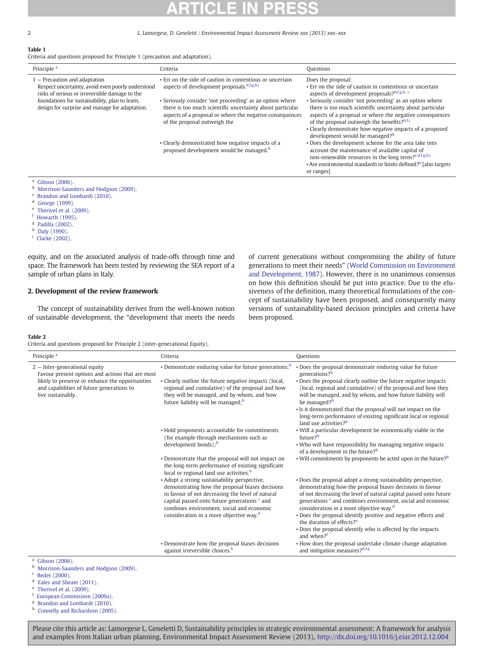### 2 L. Lamorgese, D. Geneletti / Environmental Impact Assessment Review xxx (2013) xxx–xxx

## Table 1

Criteria and questions proposed for Principle 1 (precaution and adaptation).

| Principle <sup>a</sup>                                                                                                                                                                                                                 | Criteria                                                                                                                                                                                                          | Questions                                                                                                                                                                                                                                                                                                                                  |
|----------------------------------------------------------------------------------------------------------------------------------------------------------------------------------------------------------------------------------------|-------------------------------------------------------------------------------------------------------------------------------------------------------------------------------------------------------------------|--------------------------------------------------------------------------------------------------------------------------------------------------------------------------------------------------------------------------------------------------------------------------------------------------------------------------------------------|
| - Precaution and adaptation<br>Respect uncertainty, avoid even poorly understood<br>risks of serious or irreversible damage to the<br>foundations for sustainability, plan to learn,<br>design for surprise and manage for adaptation. | • Err on the side of caution in contentious or uncertain<br>aspects of development proposals, b,f,g,h,i                                                                                                           | Does the proposal:<br>• Err on the side of caution in contentious or uncertain<br>aspects of development proposals?b,f,g,h, i                                                                                                                                                                                                              |
|                                                                                                                                                                                                                                        | • Seriously consider 'not proceeding' as an option where<br>there is too much scientific uncertainty about particular<br>aspects of a proposal or where the negative consequences<br>of the proposal outweigh the | • Seriously consider 'not proceeding' as an option where<br>there is too much scientific uncertainty about particular<br>aspects of a proposal or where the negative consequences<br>of the proposal outweigh the benefits?b,f,i<br>• Clearly demonstrate how negative impacts of a proposed<br>development would be managed? <sup>b</sup> |
|                                                                                                                                                                                                                                        | • Clearly demonstrated how negative impacts of a<br>proposed development would be managed. <sup>b</sup>                                                                                                           | . Does the development scheme for the area take into<br>account the maintenance of available capital of<br>non-renewable resources in the long term? <sup>c,d,f,g,h,i</sup><br>• Are environmental standards or limits defined? <sup>e</sup> [also targets<br>or ranges                                                                    |

- $a$  [Gibson \(2006\).](#page--1-0)
- **b** [Morrison-Saunders and Hodgson \(2009\).](#page--1-0)
- $c$  [Brandon and Lombardi \(2010\).](#page--1-0)
- $d$  [George \(1999\).](#page--1-0)
- <sup>e</sup> [Therivel et al. \(2009\).](#page--1-0)
- <sup>f</sup> [Howarth \(1995\).](#page--1-0)
- <sup>g</sup> [Padilla \(2002\)](#page--1-0).
- $h$  [Daly \(1990\)](#page--1-0).
- <sup>i</sup> [Clarke \(2002\)](#page--1-0).

equity, and on the associated analysis of trade-offs through time and space. The framework has been tested by reviewing the SEA report of a sample of urban plans in Italy.

## 2. Development of the review framework

The concept of sustainability derives from the well-known notion of sustainable development, the "development that meets the needs of current generations without compromising the ability of future generations to meet their needs" [\(World Commission on Environment](#page--1-0) [and Development, 1987\)](#page--1-0). However, there is no unanimous consensus on how this definition should be put into practice. Due to the elusiveness of the definition, many theoretical formulations of the concept of sustainability have been proposed, and consequently many versions of sustainability-based decision principles and criteria have been proposed.

### Table 2

Criteria and questions proposed for Principle 2 (inter-generational Equity).

| Principle <sup>a</sup>                                                                                                                                                                                   | Criteria                                                                                                                                                                                                                                                                                                           | <b>Questions</b>                                                                                                                                                                                                                                                                                                                |
|----------------------------------------------------------------------------------------------------------------------------------------------------------------------------------------------------------|--------------------------------------------------------------------------------------------------------------------------------------------------------------------------------------------------------------------------------------------------------------------------------------------------------------------|---------------------------------------------------------------------------------------------------------------------------------------------------------------------------------------------------------------------------------------------------------------------------------------------------------------------------------|
| $2$ - Inter-generational equity<br>Favour present options and actions that are most<br>likely to preserve or enhance the opportunities<br>and capabilities of future generations to<br>live sustainably. | • Demonstrate enduring value for future generations; <sup>b</sup><br>• Clearly outline the future negative impacts (local,<br>regional and cumulative) of the proposal and how<br>they will be managed, and by whom, and how                                                                                       | . Does the proposal demonstrate enduring value for future<br>generations? <sup>b</sup><br>. Does the proposal clearly outline the future negative impacts<br>(local, regional and cumulative) of the proposal and how they<br>will be managed, and by whom, and how future liability will                                       |
|                                                                                                                                                                                                          | future liability will be managed; <sup>b</sup>                                                                                                                                                                                                                                                                     | be managed? <sup>b</sup><br>• Is it demonstrated that the proposal will not impact on the<br>long-term performance of existing significant local or regional<br>land use activities? <sup>b</sup>                                                                                                                               |
|                                                                                                                                                                                                          | • Hold proponents accountable for commitments<br>(for example through mechanisms such as<br>development bonds); $b$                                                                                                                                                                                                | . Will a particular development be economically viable in the<br>future? <sup>b</sup>                                                                                                                                                                                                                                           |
|                                                                                                                                                                                                          |                                                                                                                                                                                                                                                                                                                    | . Who will have responsibility for managing negative impacts<br>of a development in the future? <sup>b</sup>                                                                                                                                                                                                                    |
|                                                                                                                                                                                                          | • Demonstrate that the proposal will not impact on<br>the long-term performance of existing significant<br>local or regional land use activities. <sup>b</sup>                                                                                                                                                     | • Will commitments by proponents be acted upon in the future? $b$                                                                                                                                                                                                                                                               |
|                                                                                                                                                                                                          | • Adopt a strong sustainability perspective,<br>demonstrating how the proposal biases decisions<br>in favour of not decreasing the level of natural<br>capital passed onto future generations <sup>c</sup> and<br>combines environment, social and economic<br>consideration in a more objective way. <sup>d</sup> | . Does the proposal adopt a strong sustainability perspective,<br>demonstrating how the proposal biases decisions in favour<br>of not decreasing the level of natural capital passed onto future<br>generations $\epsilon$ and combines environment, social and economic<br>consideration in a more objective way. <sup>d</sup> |
|                                                                                                                                                                                                          |                                                                                                                                                                                                                                                                                                                    | . Does the proposal identify positive and negative effects and<br>the duration of effects? <sup>e</sup>                                                                                                                                                                                                                         |
|                                                                                                                                                                                                          |                                                                                                                                                                                                                                                                                                                    | . Does the proposal identify who is affected by the impacts<br>and when? <sup>f</sup>                                                                                                                                                                                                                                           |
|                                                                                                                                                                                                          | • Demonstrate how the proposal biases decisions<br>against irreversible choices. <sup>h</sup>                                                                                                                                                                                                                      | • How does the proposal undertake climate change adaptation<br>and mitigation measures?d,f,g                                                                                                                                                                                                                                    |
| $a$ Gibson (2006).<br>Morrison-Saunders and Hodgson (2009).<br>Beder (2000).                                                                                                                             |                                                                                                                                                                                                                                                                                                                    |                                                                                                                                                                                                                                                                                                                                 |

- 
- <sup>d</sup> [Eales and Sheate \(2011\)](#page--1-0).
- $^{\circ}$  [Therivel et al. \(2009\).](#page--1-0)
- [European Commission \(2009a\).](#page--1-0)
- <sup>g</sup> [Brandon and Lombardi \(2010\)](#page--1-0).
- h [Connelly and Richardson \(2005\).](#page--1-0)

Please cite this article as: Lamorgese L, Geneletti D, Sustainability principles in strategic environmental assessment: A framework for analysis and examples from Italian urban planning, Environmental Impact Assessment Review (2013), <http://dx.doi.org/10.1016/j.eiar.2012.12.004>